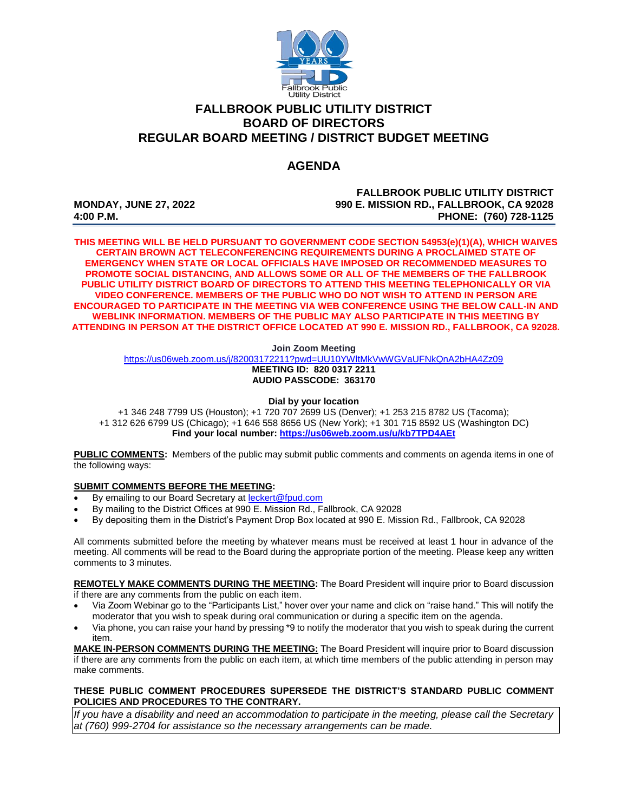

## **FALLBROOK PUBLIC UTILITY DISTRICT BOARD OF DIRECTORS REGULAR BOARD MEETING / DISTRICT BUDGET MEETING**

# **AGENDA**

**FALLBROOK PUBLIC UTILITY DISTRICT MONDAY, JUNE 27, 2022 990 E. MISSION RD., FALLBROOK, CA 92028 4:00 P.M. PHONE: (760) 728-1125**

**THIS MEETING WILL BE HELD PURSUANT TO GOVERNMENT CODE SECTION 54953(e)(1)(A), WHICH WAIVES CERTAIN BROWN ACT TELECONFERENCING REQUIREMENTS DURING A PROCLAIMED STATE OF EMERGENCY WHEN STATE OR LOCAL OFFICIALS HAVE IMPOSED OR RECOMMENDED MEASURES TO PROMOTE SOCIAL DISTANCING, AND ALLOWS SOME OR ALL OF THE MEMBERS OF THE FALLBROOK PUBLIC UTILITY DISTRICT BOARD OF DIRECTORS TO ATTEND THIS MEETING TELEPHONICALLY OR VIA VIDEO CONFERENCE. MEMBERS OF THE PUBLIC WHO DO NOT WISH TO ATTEND IN PERSON ARE ENCOURAGED TO PARTICIPATE IN THE MEETING VIA WEB CONFERENCE USING THE BELOW CALL-IN AND WEBLINK INFORMATION. MEMBERS OF THE PUBLIC MAY ALSO PARTICIPATE IN THIS MEETING BY ATTENDING IN PERSON AT THE DISTRICT OFFICE LOCATED AT 990 E. MISSION RD., FALLBROOK, CA 92028.**

**Join Zoom Meeting**

<https://us06web.zoom.us/j/82003172211?pwd=UU10YWltMkVwWGVaUFNkQnA2bHA4Zz09>

**MEETING ID: 820 0317 2211 AUDIO PASSCODE: 363170**

**Dial by your location**

+1 346 248 7799 US (Houston); +1 720 707 2699 US (Denver); +1 253 215 8782 US (Tacoma); +1 312 626 6799 US (Chicago); +1 646 558 8656 US (New York); +1 301 715 8592 US (Washington DC) **Find your local number[: https://us06web.zoom.us/u/kb7TPD4AEt](https://us06web.zoom.us/u/kb7TPD4AEt)**

**PUBLIC COMMENTS:** Members of the public may submit public comments and comments on agenda items in one of the following ways:

#### **SUBMIT COMMENTS BEFORE THE MEETING:**

- By emailing to our Board Secretary at [leckert@fpud.com](mailto:leckert@fpud.com)
- By mailing to the District Offices at 990 E. Mission Rd., Fallbrook, CA 92028
- By depositing them in the District's Payment Drop Box located at 990 E. Mission Rd., Fallbrook, CA 92028

All comments submitted before the meeting by whatever means must be received at least 1 hour in advance of the meeting. All comments will be read to the Board during the appropriate portion of the meeting. Please keep any written comments to 3 minutes.

**REMOTELY MAKE COMMENTS DURING THE MEETING:** The Board President will inquire prior to Board discussion if there are any comments from the public on each item.

- Via Zoom Webinar go to the "Participants List," hover over your name and click on "raise hand." This will notify the moderator that you wish to speak during oral communication or during a specific item on the agenda.
- Via phone, you can raise your hand by pressing \*9 to notify the moderator that you wish to speak during the current item.

**MAKE IN-PERSON COMMENTS DURING THE MEETING:** The Board President will inquire prior to Board discussion if there are any comments from the public on each item, at which time members of the public attending in person may make comments.

#### **THESE PUBLIC COMMENT PROCEDURES SUPERSEDE THE DISTRICT'S STANDARD PUBLIC COMMENT POLICIES AND PROCEDURES TO THE CONTRARY.**

*If you have a disability and need an accommodation to participate in the meeting, please call the Secretary at (760) 999-2704 for assistance so the necessary arrangements can be made.*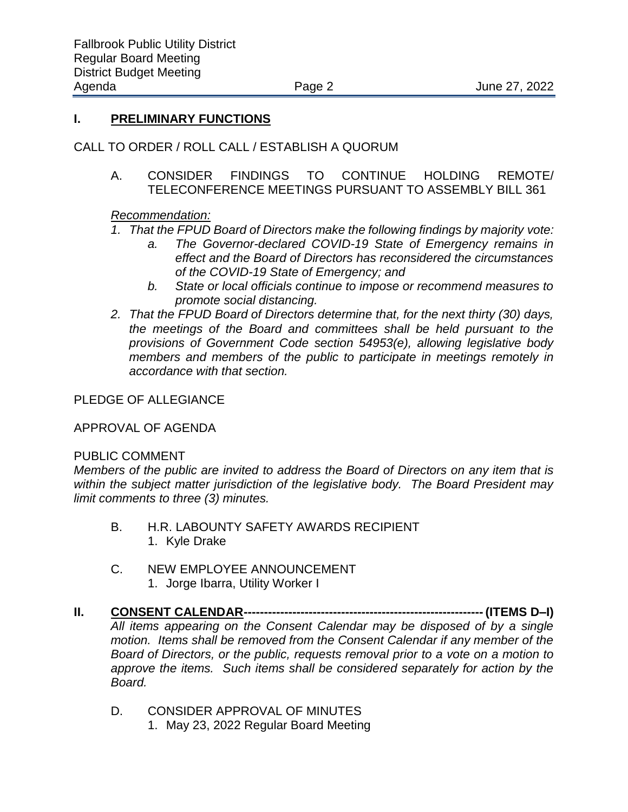#### **I. PRELIMINARY FUNCTIONS**

## CALL TO ORDER / ROLL CALL / ESTABLISH A QUORUM

A. CONSIDER FINDINGS TO CONTINUE HOLDING REMOTE/ TELECONFERENCE MEETINGS PURSUANT TO ASSEMBLY BILL 361

## *Recommendation:*

## *1. That the FPUD Board of Directors make the following findings by majority vote:*

- *a. The Governor-declared COVID-19 State of Emergency remains in effect and the Board of Directors has reconsidered the circumstances of the COVID-19 State of Emergency; and*
- *b. State or local officials continue to impose or recommend measures to promote social distancing.*
- *2. That the FPUD Board of Directors determine that, for the next thirty (30) days, the meetings of the Board and committees shall be held pursuant to the provisions of Government Code section 54953(e), allowing legislative body members and members of the public to participate in meetings remotely in accordance with that section.*

## PLEDGE OF ALLEGIANCE

#### APPROVAL OF AGENDA

#### PUBLIC COMMENT

*Members of the public are invited to address the Board of Directors on any item that is within the subject matter jurisdiction of the legislative body. The Board President may limit comments to three (3) minutes.*

- B. H.R. LABOUNTY SAFETY AWARDS RECIPIENT 1. Kyle Drake
- C. NEW EMPLOYEE ANNOUNCEMENT 1. Jorge Ibarra, Utility Worker I
- **II. CONSENT CALENDAR----------------------------------------------------------- (ITEMS D–I)** *All items appearing on the Consent Calendar may be disposed of by a single motion. Items shall be removed from the Consent Calendar if any member of the Board of Directors, or the public, requests removal prior to a vote on a motion to approve the items. Such items shall be considered separately for action by the Board.* 
	- D. CONSIDER APPROVAL OF MINUTES 1. May 23, 2022 Regular Board Meeting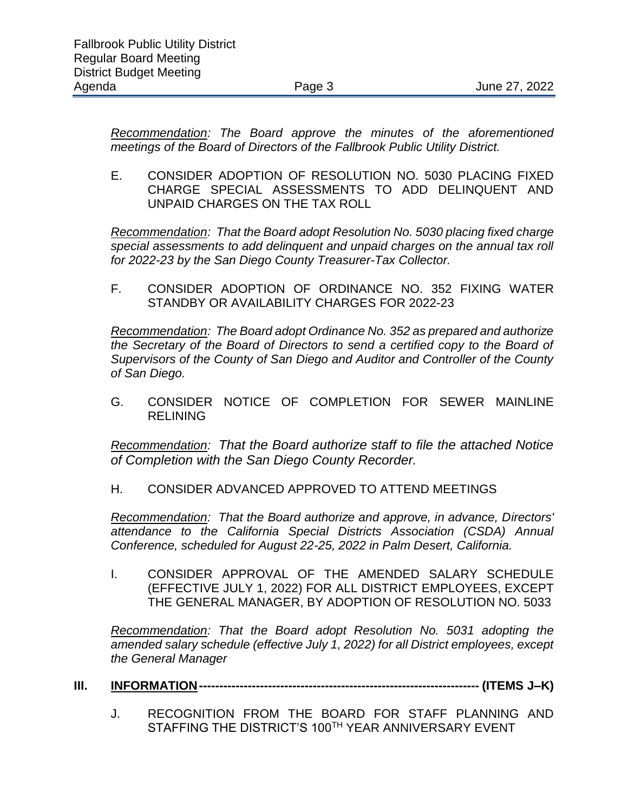*Recommendation: The Board approve the minutes of the aforementioned meetings of the Board of Directors of the Fallbrook Public Utility District.* 

E. CONSIDER ADOPTION OF RESOLUTION NO. 5030 PLACING FIXED CHARGE SPECIAL ASSESSMENTS TO ADD DELINQUENT AND UNPAID CHARGES ON THE TAX ROLL

*Recommendation: That the Board adopt Resolution No. 5030 placing fixed charge special assessments to add delinquent and unpaid charges on the annual tax roll for 2022-23 by the San Diego County Treasurer-Tax Collector.* 

F. CONSIDER ADOPTION OF ORDINANCE NO. 352 FIXING WATER STANDBY OR AVAILABILITY CHARGES FOR 2022-23

*Recommendation: The Board adopt Ordinance No. 352 as prepared and authorize the Secretary of the Board of Directors to send a certified copy to the Board of Supervisors of the County of San Diego and Auditor and Controller of the County of San Diego.*

G. CONSIDER NOTICE OF COMPLETION FOR SEWER MAINLINE RELINING

*Recommendation: That the Board authorize staff to file the attached Notice of Completion with the San Diego County Recorder.*

H. CONSIDER ADVANCED APPROVED TO ATTEND MEETINGS

*Recommendation: That the Board authorize and approve, in advance, Directors' attendance to the California Special Districts Association (CSDA) Annual Conference, scheduled for August 22-25, 2022 in Palm Desert, California.* 

I. CONSIDER APPROVAL OF THE AMENDED SALARY SCHEDULE (EFFECTIVE JULY 1, 2022) FOR ALL DISTRICT EMPLOYEES, EXCEPT THE GENERAL MANAGER, BY ADOPTION OF RESOLUTION NO. 5033

*Recommendation: That the Board adopt Resolution No. 5031 adopting the amended salary schedule (effective July 1, 2022) for all District employees, except the General Manager*

- **III. INFORMATION--------------------------------------------------------------------- (ITEMS J–K)**
	- J. RECOGNITION FROM THE BOARD FOR STAFF PLANNING AND STAFFING THE DISTRICT'S 100TH YEAR ANNIVERSARY EVENT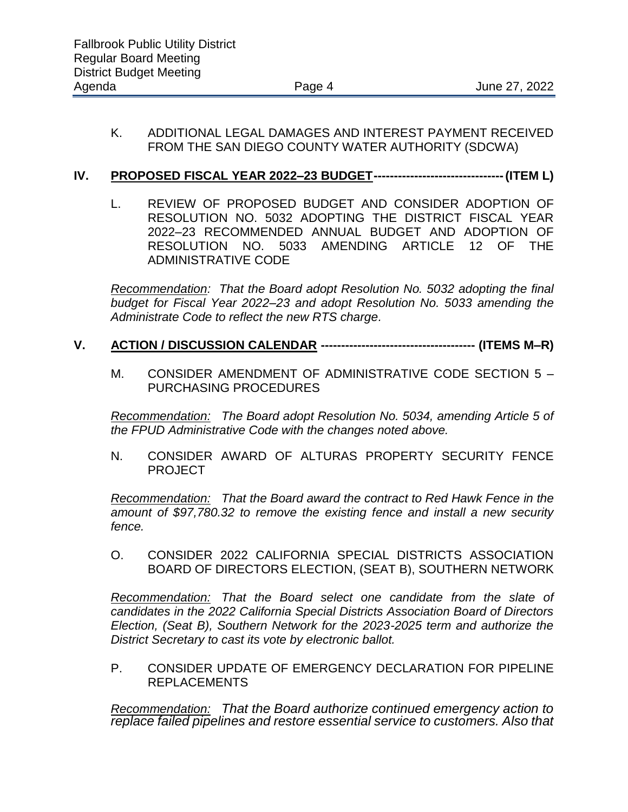#### K. ADDITIONAL LEGAL DAMAGES AND INTEREST PAYMENT RECEIVED FROM THE SAN DIEGO COUNTY WATER AUTHORITY (SDCWA)

## **IV. PROPOSED FISCAL YEAR 2022–23 BUDGET--------------------------------(ITEM L)**

L. REVIEW OF PROPOSED BUDGET AND CONSIDER ADOPTION OF RESOLUTION NO. 5032 ADOPTING THE DISTRICT FISCAL YEAR 2022–23 RECOMMENDED ANNUAL BUDGET AND ADOPTION OF RESOLUTION NO. 5033 AMENDING ARTICLE 12 OF THE ADMINISTRATIVE CODE

*Recommendation: That the Board adopt Resolution No. 5032 adopting the final budget for Fiscal Year 2022–23 and adopt Resolution No. 5033 amending the Administrate Code to reflect the new RTS charge.*

#### **V. ACTION / DISCUSSION CALENDAR -------------------------------------- (ITEMS M–R)**

M. CONSIDER AMENDMENT OF ADMINISTRATIVE CODE SECTION 5 – PURCHASING PROCEDURES

*Recommendation: The Board adopt Resolution No. 5034, amending Article 5 of the FPUD Administrative Code with the changes noted above.*

N. CONSIDER AWARD OF ALTURAS PROPERTY SECURITY FENCE PROJECT

*Recommendation: That the Board award the contract to Red Hawk Fence in the amount of \$97,780.32 to remove the existing fence and install a new security fence.*

O. CONSIDER 2022 CALIFORNIA SPECIAL DISTRICTS ASSOCIATION BOARD OF DIRECTORS ELECTION, (SEAT B), SOUTHERN NETWORK

*Recommendation: That the Board select one candidate from the slate of candidates in the 2022 California Special Districts Association Board of Directors Election, (Seat B), Southern Network for the 2023-2025 term and authorize the District Secretary to cast its vote by electronic ballot.* 

P. CONSIDER UPDATE OF EMERGENCY DECLARATION FOR PIPELINE REPLACEMENTS

*Recommendation: That the Board authorize continued emergency action to replace failed pipelines and restore essential service to customers. Also that*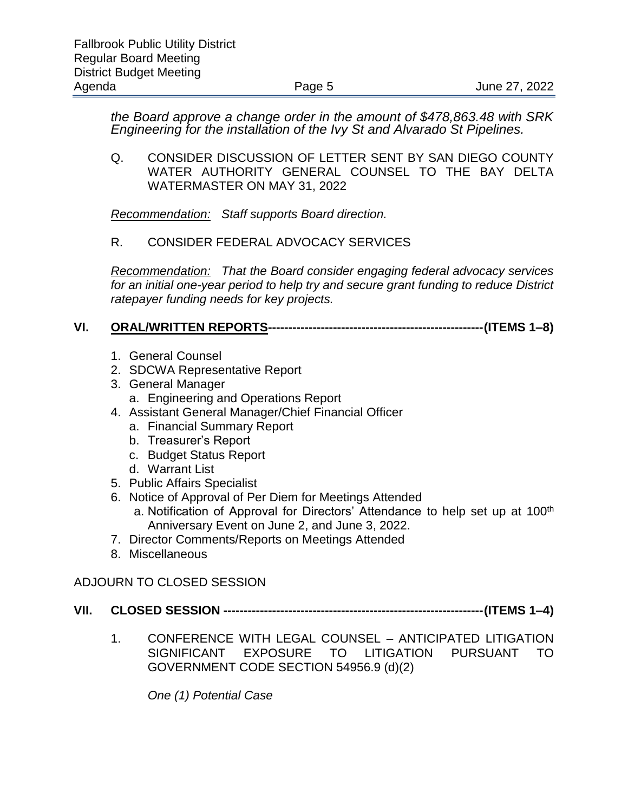*the Board approve a change order in the amount of \$478,863.48 with SRK Engineering for the installation of the Ivy St and Alvarado St Pipelines.* 

Q. CONSIDER DISCUSSION OF LETTER SENT BY SAN DIEGO COUNTY WATER AUTHORITY GENERAL COUNSEL TO THE BAY DELTA WATERMASTER ON MAY 31, 2022

*Recommendation: Staff supports Board direction.*

## R. CONSIDER FEDERAL ADVOCACY SERVICES

*Recommendation: That the Board consider engaging federal advocacy services for an initial one-year period to help try and secure grant funding to reduce District ratepayer funding needs for key projects.* 

## **VI. ORAL/WRITTEN REPORTS-----------------------------------------------------(ITEMS 1–8)**

- 1. General Counsel
- 2. SDCWA Representative Report
- 3. General Manager
	- a. Engineering and Operations Report
- 4. Assistant General Manager/Chief Financial Officer
	- a. Financial Summary Report
	- b. Treasurer's Report
	- c. Budget Status Report
	- d. Warrant List
- 5. Public Affairs Specialist
- 6. Notice of Approval of Per Diem for Meetings Attended
	- a. Notification of Approval for Directors' Attendance to help set up at 100<sup>th</sup> Anniversary Event on June 2, and June 3, 2022.
- 7. Director Comments/Reports on Meetings Attended
- 8. Miscellaneous

## ADJOURN TO CLOSED SESSION

## **VII. CLOSED SESSION ----------------------------------------------------------------(ITEMS 1–4)**

1. CONFERENCE WITH LEGAL COUNSEL – ANTICIPATED LITIGATION SIGNIFICANT EXPOSURE TO LITIGATION PURSUANT TO GOVERNMENT CODE SECTION 54956.9 (d)(2)

*One (1) Potential Case*